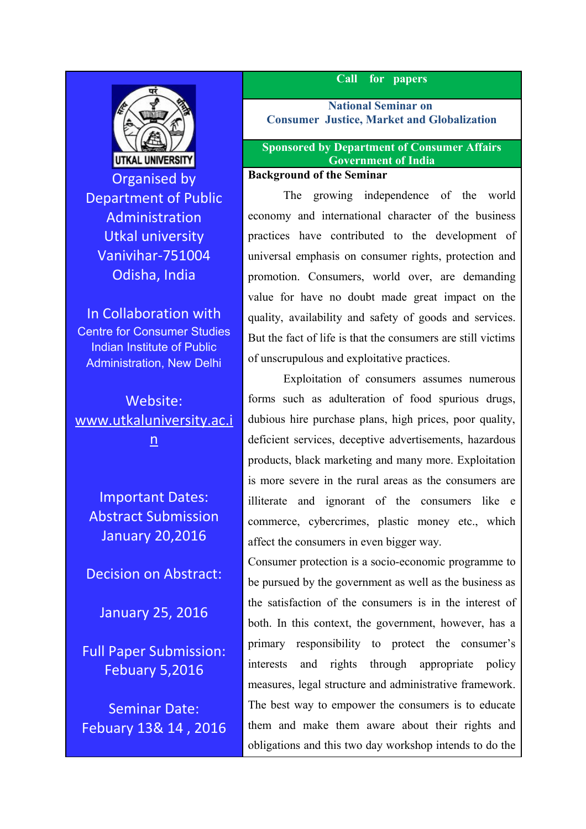

Organised by Department of Public Administration Utkal university Vanivihar-751004 Odisha, India

In Collaboration with Centre for Consumer Studies Indian Institute of Public Administration, New Delhi

Website: [www.utkaluniversity.ac.i](http://www.utkaluniversity.ac.in/) [n](http://www.utkaluniversity.ac.in/)

Important Dates: Abstract Submission January 20,2016

Decision on Abstract:

January 25, 2016

Full Paper Submission: Febuary 5,2016

Seminar Date: Febuary 13& 14 , 2016

#### **Call for papers**

**National Seminar on Consumer Justice, Market and Globalization**

#### **Sponsored by Department of Consumer Affairs Government of India**

## **Background of the Seminar**

The growing independence of the world economy and international character of the business practices have contributed to the development of universal emphasis on consumer rights, protection and promotion. Consumers, world over, are demanding value for have no doubt made great impact on the quality, availability and safety of goods and services. But the fact of life is that the consumers are still victims of unscrupulous and exploitative practices.

Exploitation of consumers assumes numerous forms such as adulteration of food spurious drugs, dubious hire purchase plans, high prices, poor quality, deficient services, deceptive advertisements, hazardous products, black marketing and many more. Exploitation is more severe in the rural areas as the consumers are illiterate and ignorant of the consumers like e commerce, cybercrimes, plastic money etc., which affect the consumers in even bigger way.

Consumer protection is a socio-economic programme to be pursued by the government as well as the business as the satisfaction of the consumers is in the interest of both. In this context, the government, however, has a primary responsibility to protect the consumer's interests and rights through appropriate policy measures, legal structure and administrative framework. The best way to empower the consumers is to educate them and make them aware about their rights and obligations and this two day workshop intends to do the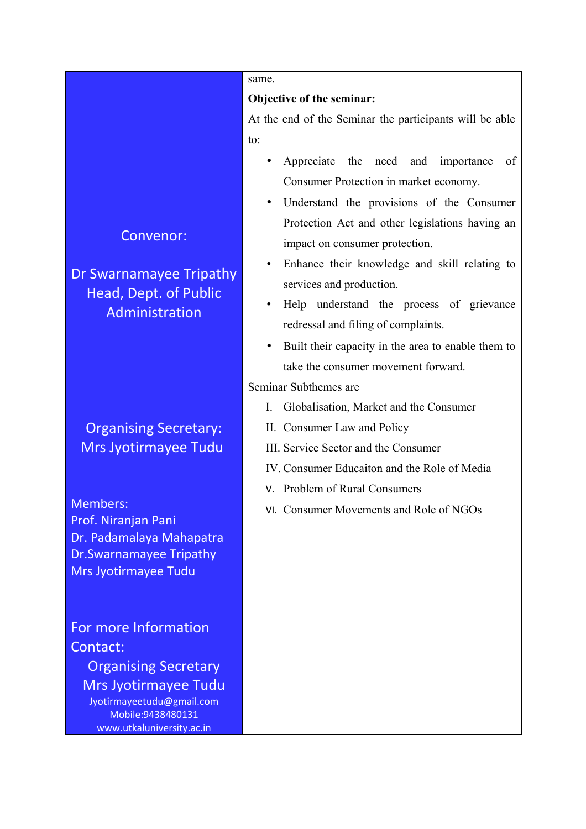## Convenor:

Dr Swarnamayee Tripathy Head, Dept. of Public Administration

# Organising Secretary: Mrs Jyotirmayee Tudu

Members: Prof. Niranjan Pani Dr. Padamalaya Mahapatra Dr.Swarnamayee Tripathy Mrs Jyotirmayee Tudu

For more Information Contact: Organising Secretary

Mrs Jyotirmayee Tudu [Jyotirmayeetudu@gmail.com](mailto:Jyotirmayeetudu@gmail.com) Mobile:9438480131 www.utkaluniversity.ac.in

#### same.

#### **Objective of the seminar:**

At the end of the Seminar the participants will be able to:

- Appreciate the need and importance of Consumer Protection in market economy.
- Understand the provisions of the Consumer Protection Act and other legislations having an impact on consumer protection.
- Enhance their knowledge and skill relating to services and production.
- Help understand the process of grievance redressal and filing of complaints.
- Built their capacity in the area to enable them to take the consumer movement forward.

## Seminar Subthemes are

- I. Globalisation, Market and the Consumer
- II. Consumer Law and Policy
- III. Service Sector and the Consumer
- IV. Consumer Educaiton and the Role of Media
- V. Problem of Rural Consumers
- VI. Consumer Movements and Role of NGOs